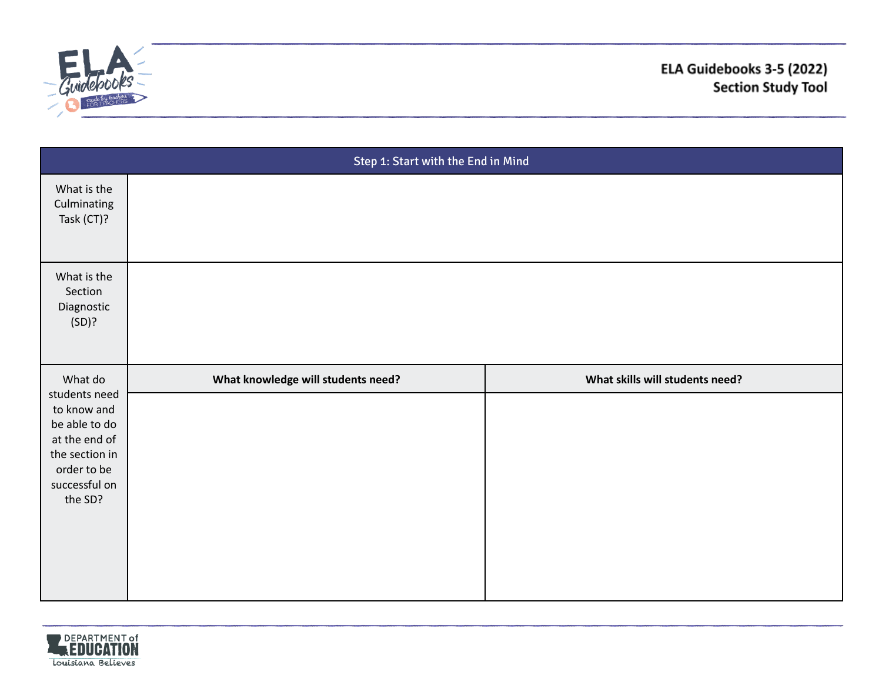

| Step 1: Start with the End in Mind            |                                    |                                 |  |
|-----------------------------------------------|------------------------------------|---------------------------------|--|
| What is the<br>Culminating<br>Task (CT)?      |                                    |                                 |  |
| What is the<br>Section<br>Diagnostic<br>(SD)? |                                    |                                 |  |
| What do                                       | What knowledge will students need? | What skills will students need? |  |
| students need<br>to know and                  |                                    |                                 |  |
| be able to do<br>at the end of                |                                    |                                 |  |
| the section in<br>order to be                 |                                    |                                 |  |
| successful on                                 |                                    |                                 |  |
| the SD?                                       |                                    |                                 |  |
|                                               |                                    |                                 |  |
|                                               |                                    |                                 |  |
|                                               |                                    |                                 |  |

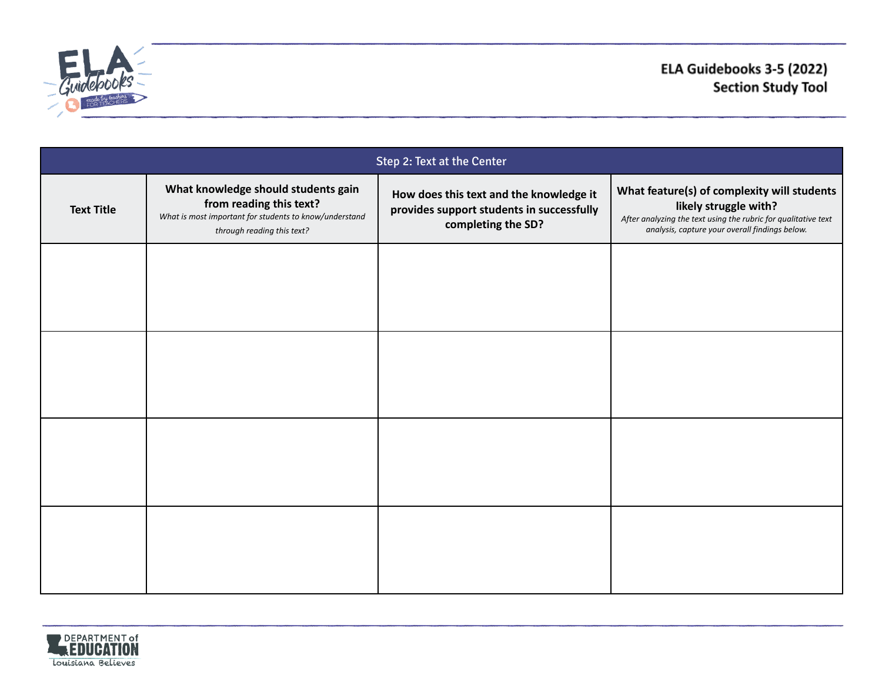

| Step 2: Text at the Center |                                                                                                                                                        |                                                                                                            |                                                                                                                                                                                          |
|----------------------------|--------------------------------------------------------------------------------------------------------------------------------------------------------|------------------------------------------------------------------------------------------------------------|------------------------------------------------------------------------------------------------------------------------------------------------------------------------------------------|
| <b>Text Title</b>          | What knowledge should students gain<br>from reading this text?<br>What is most important for students to know/understand<br>through reading this text? | How does this text and the knowledge it<br>provides support students in successfully<br>completing the SD? | What feature(s) of complexity will students<br>likely struggle with?<br>After analyzing the text using the rubric for qualitative text<br>analysis, capture your overall findings below. |
|                            |                                                                                                                                                        |                                                                                                            |                                                                                                                                                                                          |
|                            |                                                                                                                                                        |                                                                                                            |                                                                                                                                                                                          |
|                            |                                                                                                                                                        |                                                                                                            |                                                                                                                                                                                          |
|                            |                                                                                                                                                        |                                                                                                            |                                                                                                                                                                                          |

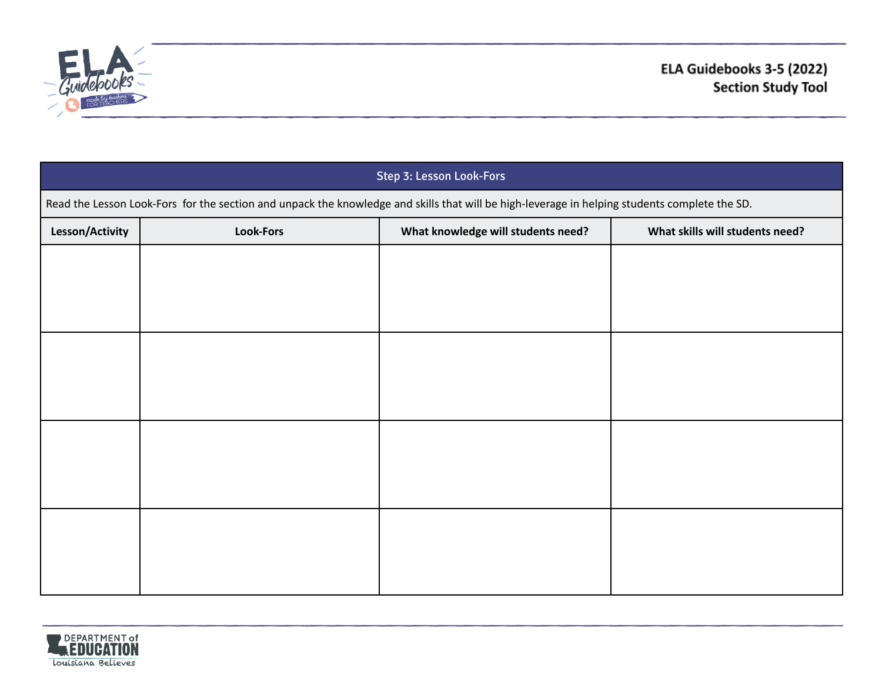

| Step 3: Lesson Look-Fors                                                                                                                      |                  |                                    |                                 |
|-----------------------------------------------------------------------------------------------------------------------------------------------|------------------|------------------------------------|---------------------------------|
| Read the Lesson Look-Fors for the section and unpack the knowledge and skills that will be high-leverage in helping students complete the SD. |                  |                                    |                                 |
| Lesson/Activity                                                                                                                               | <b>Look-Fors</b> | What knowledge will students need? | What skills will students need? |
|                                                                                                                                               |                  |                                    |                                 |
|                                                                                                                                               |                  |                                    |                                 |
|                                                                                                                                               |                  |                                    |                                 |
|                                                                                                                                               |                  |                                    |                                 |
|                                                                                                                                               |                  |                                    |                                 |
|                                                                                                                                               |                  |                                    |                                 |
|                                                                                                                                               |                  |                                    |                                 |
|                                                                                                                                               |                  |                                    |                                 |
|                                                                                                                                               |                  |                                    |                                 |
|                                                                                                                                               |                  |                                    |                                 |
|                                                                                                                                               |                  |                                    |                                 |
|                                                                                                                                               |                  |                                    |                                 |

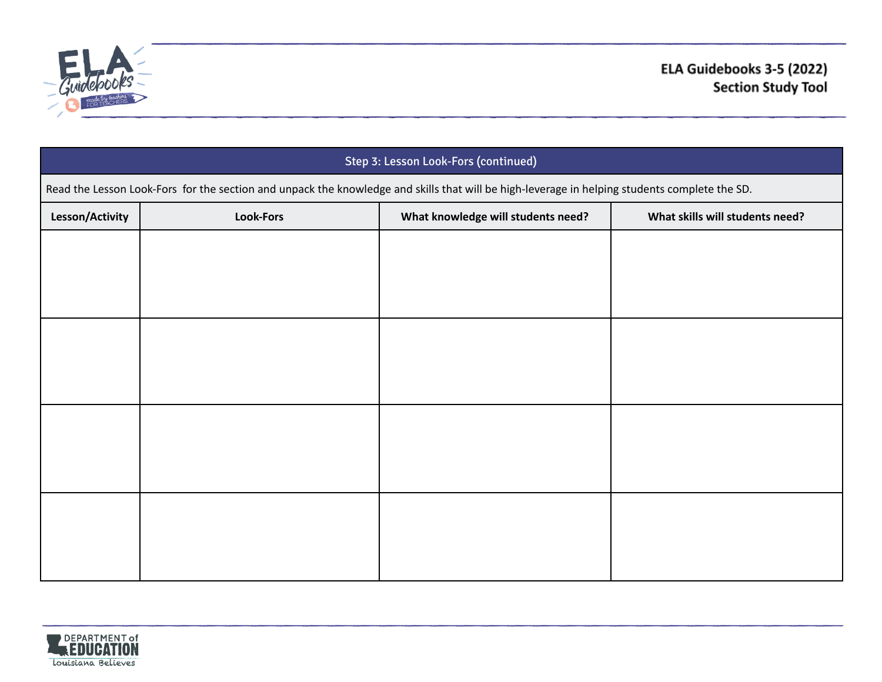

| Step 3: Lesson Look-Fors (continued)                                                                                                          |                  |                                    |                                 |
|-----------------------------------------------------------------------------------------------------------------------------------------------|------------------|------------------------------------|---------------------------------|
| Read the Lesson Look-Fors for the section and unpack the knowledge and skills that will be high-leverage in helping students complete the SD. |                  |                                    |                                 |
| Lesson/Activity                                                                                                                               | <b>Look-Fors</b> | What knowledge will students need? | What skills will students need? |
|                                                                                                                                               |                  |                                    |                                 |
|                                                                                                                                               |                  |                                    |                                 |
|                                                                                                                                               |                  |                                    |                                 |
|                                                                                                                                               |                  |                                    |                                 |
|                                                                                                                                               |                  |                                    |                                 |
|                                                                                                                                               |                  |                                    |                                 |
|                                                                                                                                               |                  |                                    |                                 |
|                                                                                                                                               |                  |                                    |                                 |
|                                                                                                                                               |                  |                                    |                                 |
|                                                                                                                                               |                  |                                    |                                 |
|                                                                                                                                               |                  |                                    |                                 |
|                                                                                                                                               |                  |                                    |                                 |